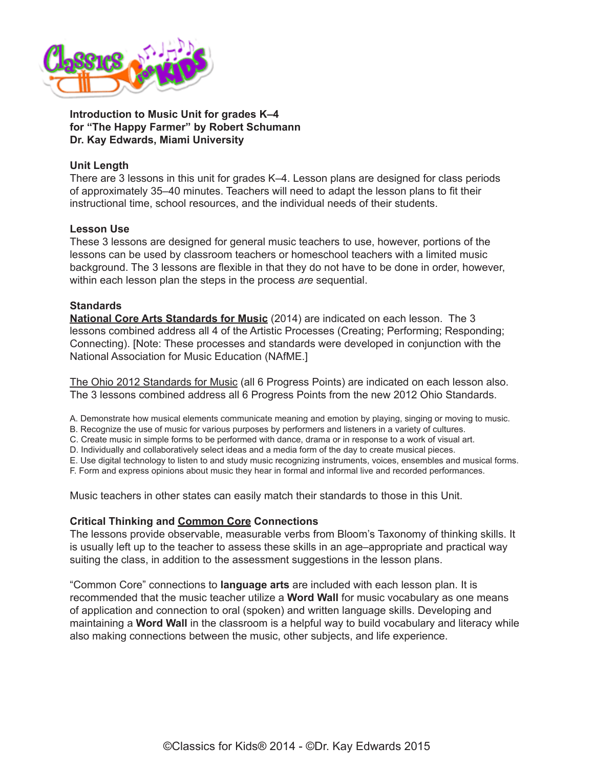

**Introduction to Music Unit for grades K–4 for "The Happy Farmer" by Robert Schumann Dr. Kay Edwards, Miami University**

# **Unit Length**

There are 3 lessons in this unit for grades K–4. Lesson plans are designed for class periods of approximately 35–40 minutes. Teachers will need to adapt the lesson plans to fit their instructional time, school resources, and the individual needs of their students.

### **Lesson Use**

These 3 lessons are designed for general music teachers to use, however, portions of the lessons can be used by classroom teachers or homeschool teachers with a limited music background. The 3 lessons are flexible in that they do not have to be done in order, however, within each lesson plan the steps in the process *are* sequential.

### **Standards**

**[National Core Arts Standards for Music](http://nccas.wikispaces.com/National+Core+Arts+Standards+Framework+Matrix)** (2014) are indicated on each lesson. The 3 lessons combined address all 4 of the Artistic Processes (Creating; Performing; Responding; Connecting). [Note: These processes and standards were developed in conjunction with the National Association for Music Education (NAfME.]

[The Ohio 2012 Standards for Music](http://education.ohio.gov/Topics/Academic-Content-Standards/2012-Revised-Fine-Arts-Standards) (all 6 Progress Points) are indicated on each lesson also. The 3 lessons combined address all 6 Progress Points from the new 2012 Ohio Standards.

A. Demonstrate how musical elements communicate meaning and emotion by playing, singing or moving to music.

B. Recognize the use of music for various purposes by performers and listeners in a variety of cultures.

C. Create music in simple forms to be performed with dance, drama or in response to a work of visual art.

D. Individually and collaboratively select ideas and a media form of the day to create musical pieces.

E. Use digital technology to listen to and study music recognizing instruments, voices, ensembles and musical forms.

F. Form and express opinions about music they hear in formal and informal live and recorded performances.

Music teachers in other states can easily match their standards to those in this Unit.

### **Critical Thinking and Common Core Connections**

The lessons provide observable, measurable verbs from Bloom's Taxonomy of thinking skills. It is usually left up to the teacher to assess these skills in an age–appropriate and practical way suiting the class, in addition to the assessment suggestions in the lesson plans.

"Common Core" connections to **language arts** are included with each lesson plan. It is recommended that the music teacher utilize a **Word Wall** for music vocabulary as one means of application and connection to oral (spoken) and written language skills. Developing and maintaining a **Word Wall** in the classroom is a helpful way to build vocabulary and literacy while also making connections between the music, other subjects, and life experience.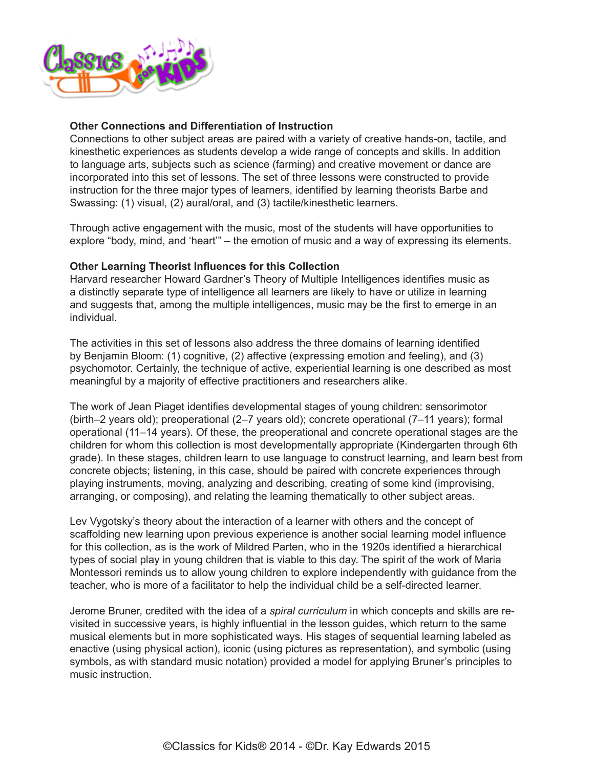

## **Other Connections and Differentiation of Instruction**

Connections to other subject areas are paired with a variety of creative hands-on, tactile, and kinesthetic experiences as students develop a wide range of concepts and skills. In addition to language arts, subjects such as science (farming) and creative movement or dance are incorporated into this set of lessons. The set of three lessons were constructed to provide instruction for the three major types of learners, identified by learning theorists Barbe and Swassing: (1) visual, (2) aural/oral, and (3) tactile/kinesthetic learners.

Through active engagement with the music, most of the students will have opportunities to explore "body, mind, and 'heart'" – the emotion of music and a way of expressing its elements.

# **Other Learning Theorist Influences for this Collection**

Harvard researcher Howard Gardner's Theory of Multiple Intelligences identifies music as a distinctly separate type of intelligence all learners are likely to have or utilize in learning and suggests that, among the multiple intelligences, music may be the first to emerge in an individual.

The activities in this set of lessons also address the three domains of learning identified by Benjamin Bloom: (1) cognitive, (2) affective (expressing emotion and feeling), and (3) psychomotor. Certainly, the technique of active, experiential learning is one described as most meaningful by a majority of effective practitioners and researchers alike.

The work of Jean Piaget identifies developmental stages of young children: sensorimotor (birth–2 years old); preoperational (2–7 years old); concrete operational (7–11 years); formal operational (11–14 years). Of these, the preoperational and concrete operational stages are the children for whom this collection is most developmentally appropriate (Kindergarten through 6th grade). In these stages, children learn to use language to construct learning, and learn best from concrete objects; listening, in this case, should be paired with concrete experiences through playing instruments, moving, analyzing and describing, creating of some kind (improvising, arranging, or composing), and relating the learning thematically to other subject areas.

Lev Vygotsky's theory about the interaction of a learner with others and the concept of scaffolding new learning upon previous experience is another social learning model influence for this collection, as is the work of Mildred Parten, who in the 1920s identified a hierarchical types of social play in young children that is viable to this day. The spirit of the work of Maria Montessori reminds us to allow young children to explore independently with guidance from the teacher, who is more of a facilitator to help the individual child be a self-directed learner.

Jerome Bruner, credited with the idea of a *spiral curriculum* in which concepts and skills are revisited in successive years, is highly influential in the lesson guides, which return to the same musical elements but in more sophisticated ways. His stages of sequential learning labeled as enactive (using physical action), iconic (using pictures as representation), and symbolic (using symbols, as with standard music notation) provided a model for applying Bruner's principles to music instruction.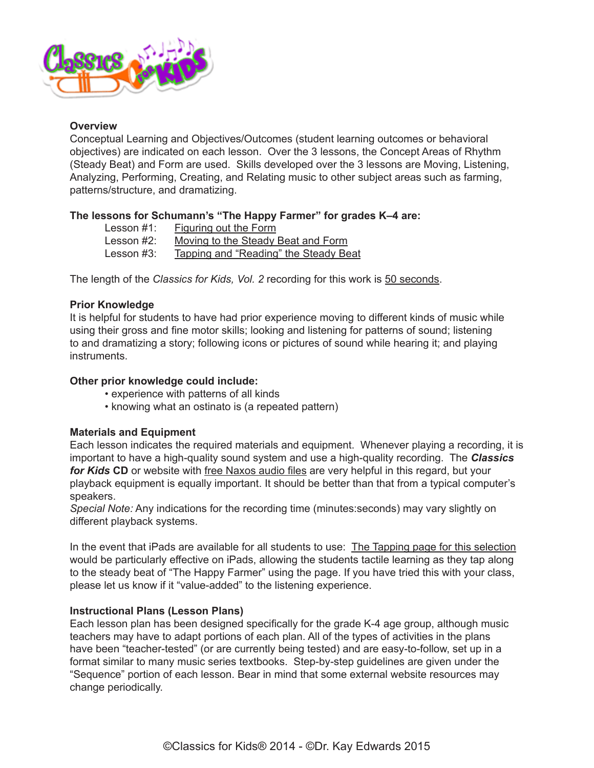

## **Overview**

Conceptual Learning and Objectives/Outcomes (student learning outcomes or behavioral objectives) are indicated on each lesson. Over the 3 lessons, the Concept Areas of Rhythm (Steady Beat) and Form are used. Skills developed over the 3 lessons are Moving, Listening, Analyzing, Performing, Creating, and Relating music to other subject areas such as farming, patterns/structure, and dramatizing.

# **The lessons for Schumann's "The Happy Farmer" for grades K–4 are:**

| Lesson $#1$ : | <b>Figuring out the Form</b>          |
|---------------|---------------------------------------|
| Lesson #2:    | Moving to the Steady Beat and Form    |
| Lesson #3:    | Tapping and "Reading" the Steady Beat |

The length of the *Classics for Kids, Vol. 2* recording for this work is 50 seconds.

# **Prior Knowledge**

It is helpful for students to have had prior experience moving to different kinds of music while using their gross and fine motor skills; looking and listening for patterns of sound; listening to and dramatizing a story; following icons or pictures of sound while hearing it; and playing instruments.

# **Other prior knowledge could include:**

- experience with patterns of all kinds
- knowing what an ostinato is (a repeated pattern)

### **Materials and Equipment**

Each lesson indicates the required materials and equipment. Whenever playing a recording, it is important to have a high-quality sound system and use a high-quality recording. The *[Classics](https://secure2.convio.net/cpr/site/Ecommerce/1029952731?VIEW_PRODUCT=true&product_id=1080&store_id=1101)  [for Kids](https://secure2.convio.net/cpr/site/Ecommerce/1029952731?VIEW_PRODUCT=true&product_id=1080&store_id=1101)* **CD** or website with [free Naxos audio files](http://www.classicsforkids.com/music/hearthemusic.php) are very helpful in this regard, but your playback equipment is equally important. It should be better than that from a typical computer's speakers.

*Special Note:* Any indications for the recording time (minutes:seconds) may vary slightly on different playback systems.

In the event that iPads are available for all students to use: [The Tapping page for this selection](http://www.classicsforkids.com/downloads/schumann/HappyFarmer_TappingPage.pdf) would be particularly effective on iPads, allowing the students tactile learning as they tap along to the steady beat of "The Happy Farmer" using the page. If you have tried this with your class, please let us know if it "value-added" to the listening experience.

## **Instructional Plans (Lesson Plans)**

Each lesson plan has been designed specifically for the grade K-4 age group, although music teachers may have to adapt portions of each plan. All of the types of activities in the plans have been "teacher-tested" (or are currently being tested) and are easy-to-follow, set up in a format similar to many music series textbooks. Step-by-step guidelines are given under the "Sequence" portion of each lesson. Bear in mind that some external website resources may change periodically.